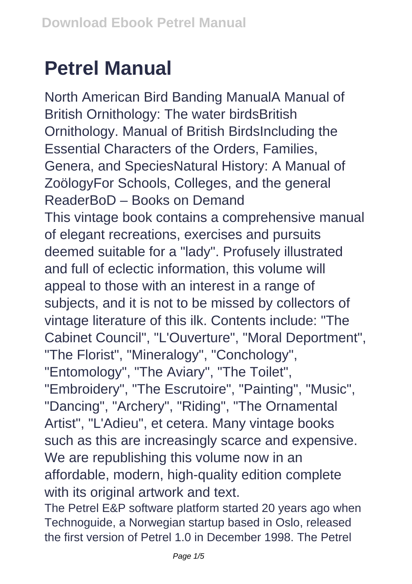## **Petrel Manual**

North American Bird Banding ManualA Manual of British Ornithology: The water birdsBritish Ornithology. Manual of British BirdsIncluding the Essential Characters of the Orders, Families, Genera, and SpeciesNatural History: A Manual of ZoölogyFor Schools, Colleges, and the general ReaderBoD – Books on Demand This vintage book contains a comprehensive manual of elegant recreations, exercises and pursuits deemed suitable for a "lady". Profusely illustrated and full of eclectic information, this volume will appeal to those with an interest in a range of subjects, and it is not to be missed by collectors of vintage literature of this ilk. Contents include: "The Cabinet Council", "L'Ouverture", "Moral Deportment", "The Florist", "Mineralogy", "Conchology", "Entomology", "The Aviary", "The Toilet", "Embroidery", "The Escrutoire", "Painting", "Music", "Dancing", "Archery", "Riding", "The Ornamental Artist", "L'Adieu", et cetera. Many vintage books such as this are increasingly scarce and expensive. We are republishing this volume now in an affordable, modern, high-quality edition complete with its original artwork and text.

The Petrel E&P software platform started 20 years ago when Technoguide, a Norwegian startup based in Oslo, released the first version of Petrel 1.0 in December 1998. The Petrel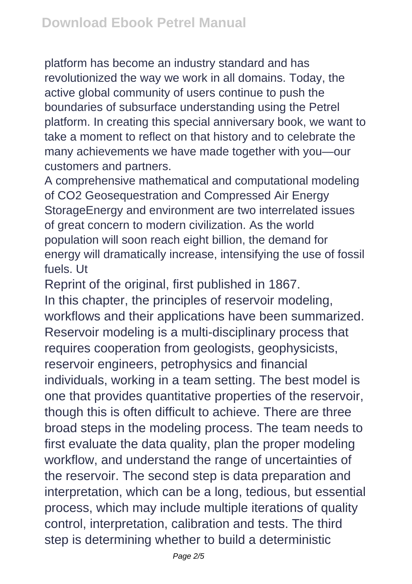platform has become an industry standard and has revolutionized the way we work in all domains. Today, the active global community of users continue to push the boundaries of subsurface understanding using the Petrel platform. In creating this special anniversary book, we want to take a moment to reflect on that history and to celebrate the many achievements we have made together with you—our customers and partners.

A comprehensive mathematical and computational modeling of CO2 Geosequestration and Compressed Air Energy StorageEnergy and environment are two interrelated issues of great concern to modern civilization. As the world population will soon reach eight billion, the demand for energy will dramatically increase, intensifying the use of fossil fuels. Ut

Reprint of the original, first published in 1867. In this chapter, the principles of reservoir modeling, workflows and their applications have been summarized. Reservoir modeling is a multi-disciplinary process that requires cooperation from geologists, geophysicists, reservoir engineers, petrophysics and financial individuals, working in a team setting. The best model is one that provides quantitative properties of the reservoir, though this is often difficult to achieve. There are three broad steps in the modeling process. The team needs to first evaluate the data quality, plan the proper modeling workflow, and understand the range of uncertainties of the reservoir. The second step is data preparation and interpretation, which can be a long, tedious, but essential process, which may include multiple iterations of quality control, interpretation, calibration and tests. The third step is determining whether to build a deterministic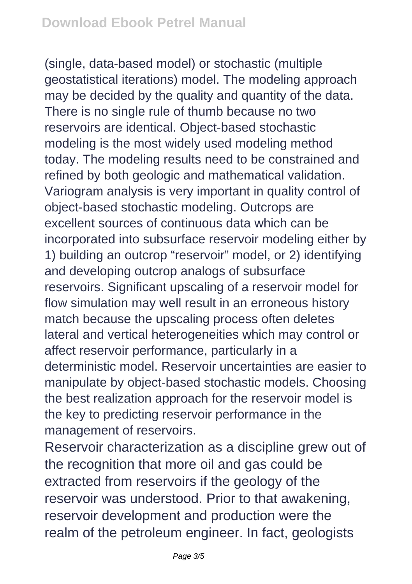(single, data-based model) or stochastic (multiple geostatistical iterations) model. The modeling approach may be decided by the quality and quantity of the data. There is no single rule of thumb because no two reservoirs are identical. Object-based stochastic modeling is the most widely used modeling method today. The modeling results need to be constrained and refined by both geologic and mathematical validation. Variogram analysis is very important in quality control of object-based stochastic modeling. Outcrops are excellent sources of continuous data which can be incorporated into subsurface reservoir modeling either by 1) building an outcrop "reservoir" model, or 2) identifying and developing outcrop analogs of subsurface reservoirs. Significant upscaling of a reservoir model for flow simulation may well result in an erroneous history match because the upscaling process often deletes lateral and vertical heterogeneities which may control or affect reservoir performance, particularly in a deterministic model. Reservoir uncertainties are easier to manipulate by object-based stochastic models. Choosing the best realization approach for the reservoir model is the key to predicting reservoir performance in the management of reservoirs.

Reservoir characterization as a discipline grew out of the recognition that more oil and gas could be extracted from reservoirs if the geology of the reservoir was understood. Prior to that awakening, reservoir development and production were the realm of the petroleum engineer. In fact, geologists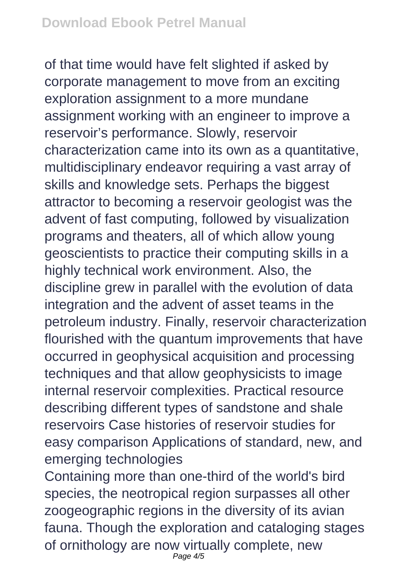of that time would have felt slighted if asked by corporate management to move from an exciting exploration assignment to a more mundane assignment working with an engineer to improve a reservoir's performance. Slowly, reservoir characterization came into its own as a quantitative, multidisciplinary endeavor requiring a vast array of skills and knowledge sets. Perhaps the biggest attractor to becoming a reservoir geologist was the advent of fast computing, followed by visualization programs and theaters, all of which allow young geoscientists to practice their computing skills in a highly technical work environment. Also, the discipline grew in parallel with the evolution of data integration and the advent of asset teams in the petroleum industry. Finally, reservoir characterization flourished with the quantum improvements that have occurred in geophysical acquisition and processing techniques and that allow geophysicists to image internal reservoir complexities. Practical resource describing different types of sandstone and shale reservoirs Case histories of reservoir studies for easy comparison Applications of standard, new, and emerging technologies

Containing more than one-third of the world's bird species, the neotropical region surpasses all other zoogeographic regions in the diversity of its avian fauna. Though the exploration and cataloging stages of ornithology are now virtually complete, new Page  $4/5$